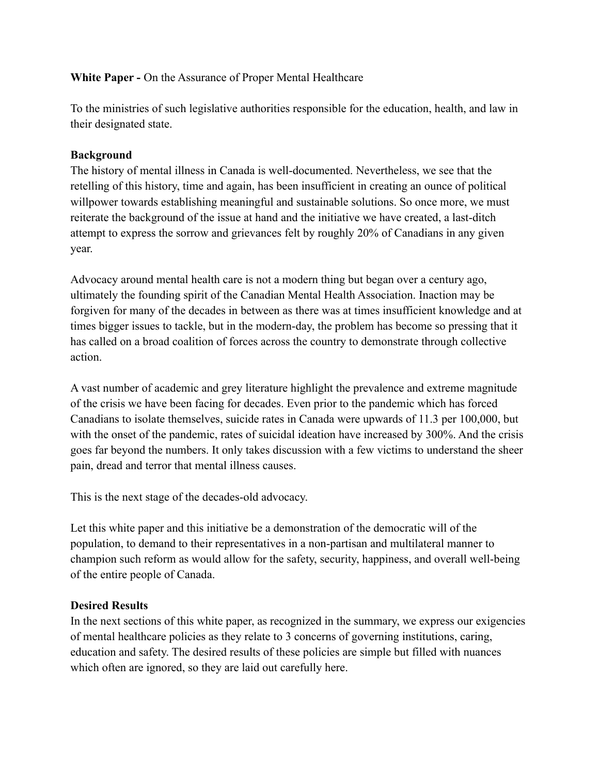#### **White Paper -** On the Assurance of Proper Mental Healthcare

To the ministries of such legislative authorities responsible for the education, health, and law in their designated state.

## **Background**

The history of mental illness in Canada is well-documented. Nevertheless, we see that the retelling of this history, time and again, has been insufficient in creating an ounce of political willpower towards establishing meaningful and sustainable solutions. So once more, we must reiterate the background of the issue at hand and the initiative we have created, a last-ditch attempt to express the sorrow and grievances felt by roughly 20% of Canadians in any given year.

Advocacy around mental health care is not a modern thing but began over a century ago, ultimately the founding spirit of the Canadian Mental Health Association. Inaction may be forgiven for many of the decades in between as there was at times insufficient knowledge and at times bigger issues to tackle, but in the modern-day, the problem has become so pressing that it has called on a broad coalition of forces across the country to demonstrate through collective action.

A vast number of academic and grey literature highlight the prevalence and extreme magnitude of the crisis we have been facing for decades. Even prior to the pandemic which has forced Canadians to isolate themselves, suicide rates in Canada were upwards of 11.3 per 100,000, but with the onset of the pandemic, rates of suicidal ideation have increased by 300%. And the crisis goes far beyond the numbers. It only takes discussion with a few victims to understand the sheer pain, dread and terror that mental illness causes.

This is the next stage of the decades-old advocacy.

Let this white paper and this initiative be a demonstration of the democratic will of the population, to demand to their representatives in a non-partisan and multilateral manner to champion such reform as would allow for the safety, security, happiness, and overall well-being of the entire people of Canada.

#### **Desired Results**

In the next sections of this white paper, as recognized in the summary, we express our exigencies of mental healthcare policies as they relate to 3 concerns of governing institutions, caring, education and safety. The desired results of these policies are simple but filled with nuances which often are ignored, so they are laid out carefully here.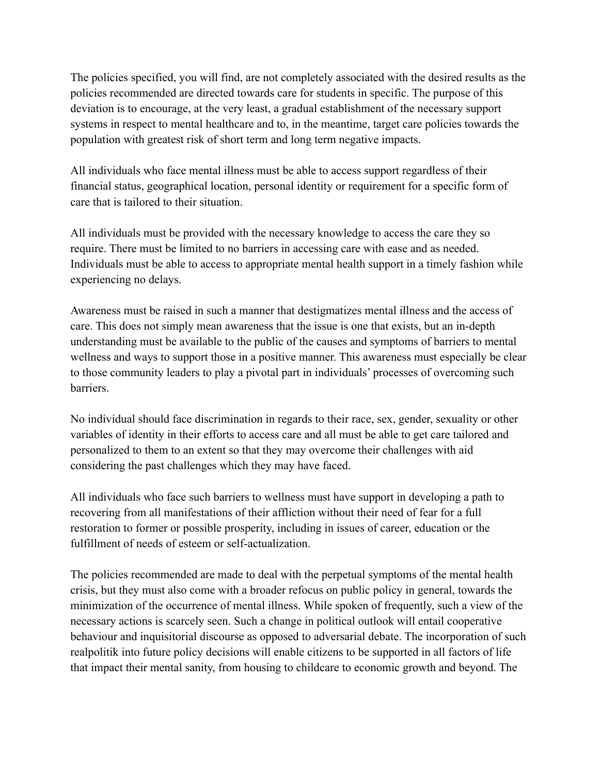The policies specified, you will find, are not completely associated with the desired results as the policies recommended are directed towards care for students in specific. The purpose of this deviation is to encourage, at the very least, a gradual establishment of the necessary support systems in respect to mental healthcare and to, in the meantime, target care policies towards the population with greatest risk of short term and long term negative impacts.

All individuals who face mental illness must be able to access support regardless of their financial status, geographical location, personal identity or requirement for a specific form of care that is tailored to their situation.

All individuals must be provided with the necessary knowledge to access the care they so require. There must be limited to no barriers in accessing care with ease and as needed. Individuals must be able to access to appropriate mental health support in a timely fashion while experiencing no delays.

Awareness must be raised in such a manner that destigmatizes mental illness and the access of care. This does not simply mean awareness that the issue is one that exists, but an in-depth understanding must be available to the public of the causes and symptoms of barriers to mental wellness and ways to support those in a positive manner. This awareness must especially be clear to those community leaders to play a pivotal part in individuals' processes of overcoming such barriers.

No individual should face discrimination in regards to their race, sex, gender, sexuality or other variables of identity in their efforts to access care and all must be able to get care tailored and personalized to them to an extent so that they may overcome their challenges with aid considering the past challenges which they may have faced.

All individuals who face such barriers to wellness must have support in developing a path to recovering from all manifestations of their affliction without their need of fear for a full restoration to former or possible prosperity, including in issues of career, education or the fulfillment of needs of esteem or self-actualization.

The policies recommended are made to deal with the perpetual symptoms of the mental health crisis, but they must also come with a broader refocus on public policy in general, towards the minimization of the occurrence of mental illness. While spoken of frequently, such a view of the necessary actions is scarcely seen. Such a change in political outlook will entail cooperative behaviour and inquisitorial discourse as opposed to adversarial debate. The incorporation of such realpolitik into future policy decisions will enable citizens to be supported in all factors of life that impact their mental sanity, from housing to childcare to economic growth and beyond. The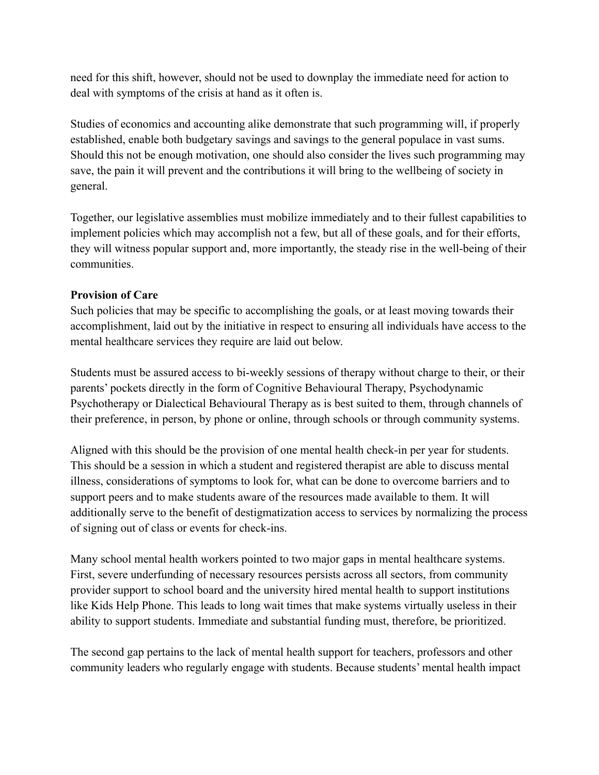need for this shift, however, should not be used to downplay the immediate need for action to deal with symptoms of the crisis at hand as it often is.

Studies of economics and accounting alike demonstrate that such programming will, if properly established, enable both budgetary savings and savings to the general populace in vast sums. Should this not be enough motivation, one should also consider the lives such programming may save, the pain it will prevent and the contributions it will bring to the wellbeing of society in general.

Together, our legislative assemblies must mobilize immediately and to their fullest capabilities to implement policies which may accomplish not a few, but all of these goals, and for their efforts, they will witness popular support and, more importantly, the steady rise in the well-being of their communities.

#### **Provision of Care**

Such policies that may be specific to accomplishing the goals, or at least moving towards their accomplishment, laid out by the initiative in respect to ensuring all individuals have access to the mental healthcare services they require are laid out below.

Students must be assured access to bi-weekly sessions of therapy without charge to their, or their parents' pockets directly in the form of Cognitive Behavioural Therapy, Psychodynamic Psychotherapy or Dialectical Behavioural Therapy as is best suited to them, through channels of their preference, in person, by phone or online, through schools or through community systems.

Aligned with this should be the provision of one mental health check-in per year for students. This should be a session in which a student and registered therapist are able to discuss mental illness, considerations of symptoms to look for, what can be done to overcome barriers and to support peers and to make students aware of the resources made available to them. It will additionally serve to the benefit of destigmatization access to services by normalizing the process of signing out of class or events for check-ins.

Many school mental health workers pointed to two major gaps in mental healthcare systems. First, severe underfunding of necessary resources persists across all sectors, from community provider support to school board and the university hired mental health to support institutions like Kids Help Phone. This leads to long wait times that make systems virtually useless in their ability to support students. Immediate and substantial funding must, therefore, be prioritized.

The second gap pertains to the lack of mental health support for teachers, professors and other community leaders who regularly engage with students. Because students' mental health impact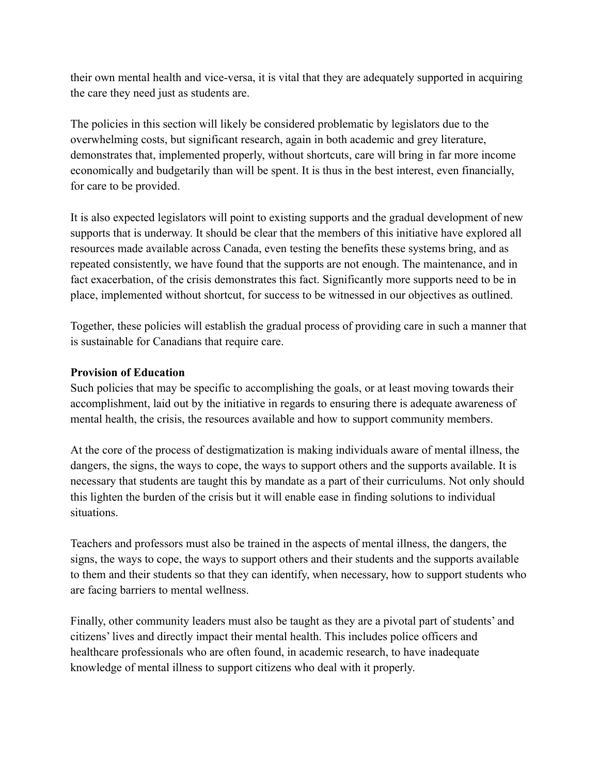their own mental health and vice-versa, it is vital that they are adequately supported in acquiring the care they need just as students are.

The policies in this section will likely be considered problematic by legislators due to the overwhelming costs, but significant research, again in both academic and grey literature, demonstrates that, implemented properly, without shortcuts, care will bring in far more income economically and budgetarily than will be spent. It is thus in the best interest, even financially, for care to be provided.

It is also expected legislators will point to existing supports and the gradual development of new supports that is underway. It should be clear that the members of this initiative have explored all resources made available across Canada, even testing the benefits these systems bring, and as repeated consistently, we have found that the supports are not enough. The maintenance, and in fact exacerbation, of the crisis demonstrates this fact. Significantly more supports need to be in place, implemented without shortcut, for success to be witnessed in our objectives as outlined.

Together, these policies will establish the gradual process of providing care in such a manner that is sustainable for Canadians that require care.

#### **Provision of Education**

Such policies that may be specific to accomplishing the goals, or at least moving towards their accomplishment, laid out by the initiative in regards to ensuring there is adequate awareness of mental health, the crisis, the resources available and how to support community members.

At the core of the process of destigmatization is making individuals aware of mental illness, the dangers, the signs, the ways to cope, the ways to support others and the supports available. It is necessary that students are taught this by mandate as a part of their curriculums. Not only should this lighten the burden of the crisis but it will enable ease in finding solutions to individual situations.

Teachers and professors must also be trained in the aspects of mental illness, the dangers, the signs, the ways to cope, the ways to support others and their students and the supports available to them and their students so that they can identify, when necessary, how to support students who are facing barriers to mental wellness.

Finally, other community leaders must also be taught as they are a pivotal part of students' and citizens' lives and directly impact their mental health. This includes police officers and healthcare professionals who are often found, in academic research, to have inadequate knowledge of mental illness to support citizens who deal with it properly.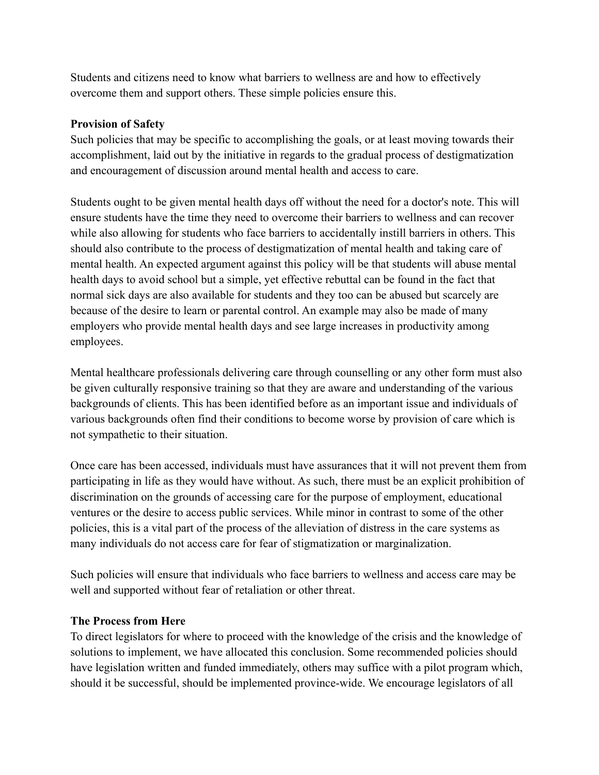Students and citizens need to know what barriers to wellness are and how to effectively overcome them and support others. These simple policies ensure this.

## **Provision of Safety**

Such policies that may be specific to accomplishing the goals, or at least moving towards their accomplishment, laid out by the initiative in regards to the gradual process of destigmatization and encouragement of discussion around mental health and access to care.

Students ought to be given mental health days off without the need for a doctor's note. This will ensure students have the time they need to overcome their barriers to wellness and can recover while also allowing for students who face barriers to accidentally instill barriers in others. This should also contribute to the process of destigmatization of mental health and taking care of mental health. An expected argument against this policy will be that students will abuse mental health days to avoid school but a simple, yet effective rebuttal can be found in the fact that normal sick days are also available for students and they too can be abused but scarcely are because of the desire to learn or parental control. An example may also be made of many employers who provide mental health days and see large increases in productivity among employees.

Mental healthcare professionals delivering care through counselling or any other form must also be given culturally responsive training so that they are aware and understanding of the various backgrounds of clients. This has been identified before as an important issue and individuals of various backgrounds often find their conditions to become worse by provision of care which is not sympathetic to their situation.

Once care has been accessed, individuals must have assurances that it will not prevent them from participating in life as they would have without. As such, there must be an explicit prohibition of discrimination on the grounds of accessing care for the purpose of employment, educational ventures or the desire to access public services. While minor in contrast to some of the other policies, this is a vital part of the process of the alleviation of distress in the care systems as many individuals do not access care for fear of stigmatization or marginalization.

Such policies will ensure that individuals who face barriers to wellness and access care may be well and supported without fear of retaliation or other threat.

#### **The Process from Here**

To direct legislators for where to proceed with the knowledge of the crisis and the knowledge of solutions to implement, we have allocated this conclusion. Some recommended policies should have legislation written and funded immediately, others may suffice with a pilot program which, should it be successful, should be implemented province-wide. We encourage legislators of all